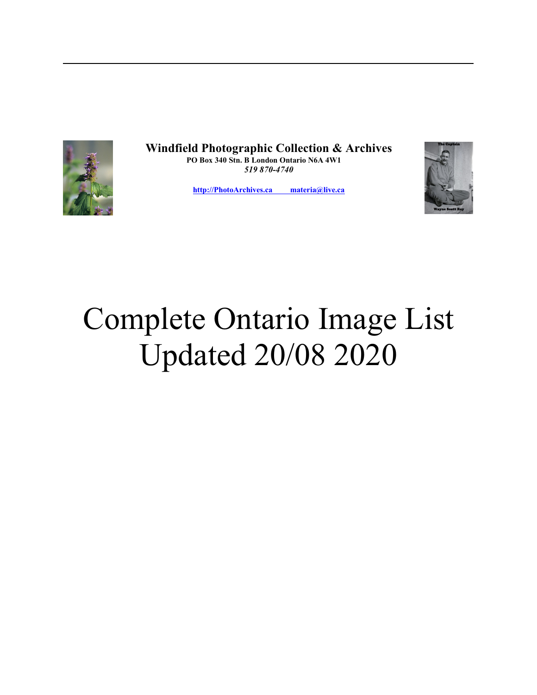

**Windfield Photographic Collection & Archives PO Box 340 Stn. B London Ontario N6A 4W1**  *519 870-4740*

**[http://PhotoArchives.ca materia@live.ca](mailto:hmspress@outlook.com)**



## Complete Ontario Image List Updated 20/08 2020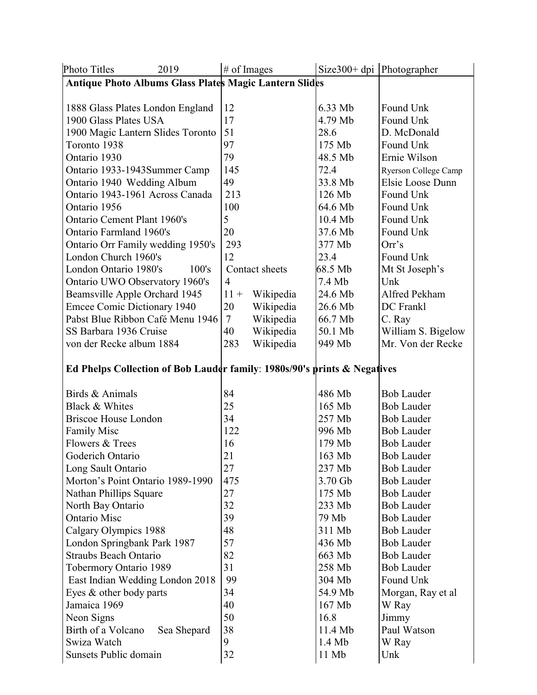| <b>Photo Titles</b><br>2019                                              |                 | $#$ of Images  |           | Size $300+$ dpi Photographer |                             |
|--------------------------------------------------------------------------|-----------------|----------------|-----------|------------------------------|-----------------------------|
| Antique Photo Albums Glass Plates Magic Lantern Slides                   |                 |                |           |                              |                             |
|                                                                          |                 |                |           |                              |                             |
| 1888 Glass Plates London England                                         |                 | 12             |           | 6.33 Mb                      | Found Unk                   |
| 1900 Glass Plates USA                                                    |                 | 17             |           | 4.79 Mb                      | Found Unk                   |
| 1900 Magic Lantern Slides Toronto                                        |                 | 51             |           | 28.6                         | D. McDonald                 |
| Toronto 1938                                                             |                 | 97             |           | 175 Mb                       | Found Unk                   |
| Ontario 1930                                                             |                 | 79             |           | 48.5 Mb                      | Ernie Wilson                |
| Ontario 1933-1943Summer Camp                                             |                 | 145            |           | 72.4                         | <b>Ryerson College Camp</b> |
| Ontario 1940 Wedding Album                                               |                 | 49             |           | 33.8 Mb                      | Elsie Loose Dunn            |
| Ontario 1943-1961 Across Canada                                          |                 | 213            |           | 126 Mb                       | Found Unk                   |
| Ontario 1956                                                             |                 | 100            |           | 64.6 Mb                      | Found Unk                   |
| Ontario Cement Plant 1960's                                              |                 | 5              |           | 10.4 Mb                      | Found Unk                   |
| Ontario Farmland 1960's                                                  |                 | 20             |           | 37.6 Mb                      | Found Unk                   |
| Ontario Orr Family wedding 1950's                                        |                 | 293            |           | 377 Mb                       | Orr's                       |
|                                                                          |                 | 12             |           | 23.4                         | Found Unk                   |
| London Church 1960's                                                     |                 |                |           | 68.5 Mb                      |                             |
| London Ontario 1980's<br>100's                                           |                 | Contact sheets |           |                              | Mt St Joseph's              |
| Ontario UWO Observatory 1960's                                           |                 | $\overline{4}$ |           | 7.4 Mb                       | Unk                         |
| Beamsville Apple Orchard 1945                                            |                 | $11 +$         | Wikipedia | 24.6 Mb                      | Alfred Pekham               |
| <b>Emcee Comic Dictionary 1940</b>                                       |                 | 20             | Wikipedia | 26.6 Mb                      | DC Frankl                   |
| Pabst Blue Ribbon Café Menu 1946                                         |                 | $\overline{7}$ | Wikipedia | 66.7 Mb                      | C. Ray                      |
| SS Barbara 1936 Cruise                                                   |                 | 40             | Wikipedia | 50.1 Mb                      | William S. Bigelow          |
| von der Recke album 1884                                                 |                 | 283            | Wikipedia | 949 Mb                       | Mr. Von der Recke           |
|                                                                          |                 |                |           |                              |                             |
| Ed Phelps Collection of Bob Lauder family: 1980s/90's prints & Negatives |                 |                |           |                              |                             |
|                                                                          |                 | 84             |           |                              |                             |
|                                                                          | Birds & Animals |                |           | 486 Mb                       | <b>Bob Lauder</b>           |
| Black & Whites                                                           |                 | 25             |           | 165 Mb                       | <b>Bob Lauder</b>           |
| <b>Briscoe House London</b>                                              |                 | 34             |           | 257 Mb                       | <b>Bob Lauder</b>           |
| <b>Family Misc</b>                                                       |                 | 122            |           | 996 Mb                       | <b>Bob Lauder</b>           |
| Flowers & Trees                                                          |                 | 16             |           | 179 Mb                       | <b>Bob Lauder</b>           |
| Goderich Ontario                                                         |                 | 21             |           | 163 Mb                       | <b>Bob Lauder</b>           |
| Long Sault Ontario                                                       |                 | 27             |           | 237 Mb                       | <b>Bob Lauder</b>           |
| Morton's Point Ontario 1989-1990                                         |                 | 475            |           | 3.70 Gb                      | <b>Bob Lauder</b>           |
| Nathan Phillips Square                                                   |                 | 27             |           | 175 Mb                       | <b>Bob Lauder</b>           |
| North Bay Ontario                                                        |                 | 32             |           | 233 Mb                       | <b>Bob Lauder</b>           |
| <b>Ontario Misc</b>                                                      |                 | 39             |           | 79 Mb                        | <b>Bob Lauder</b>           |
| Calgary Olympics 1988                                                    |                 | 48             |           | 311 Mb                       | <b>Bob Lauder</b>           |
| London Springbank Park 1987                                              |                 | 57             |           | 436 Mb                       | <b>Bob Lauder</b>           |
| <b>Straubs Beach Ontario</b>                                             |                 | 82             |           | 663 Mb                       | <b>Bob Lauder</b>           |
| Tobermory Ontario 1989                                                   |                 | 31             |           | 258 Mb                       | <b>Bob Lauder</b>           |
| East Indian Wedding London 2018                                          |                 | 99             |           | 304 Mb                       | Found Unk                   |
| Eyes & other body parts                                                  |                 | 34             |           | 54.9 Mb                      | Morgan, Ray et al           |
| Jamaica 1969                                                             |                 | 40             |           | 167 Mb                       | W Ray                       |
| Neon Signs                                                               |                 | 50             |           | 16.8                         | Jimmy                       |
| Birth of a Volcano<br>Sea Shepard                                        |                 | 38             |           | 11.4 Mb                      | Paul Watson                 |
| Swiza Watch                                                              |                 | 9              |           | 1.4 Mb                       | W Ray                       |
| Sunsets Public domain                                                    |                 | 32             |           | 11 Mb                        | Unk                         |
|                                                                          |                 |                |           |                              |                             |